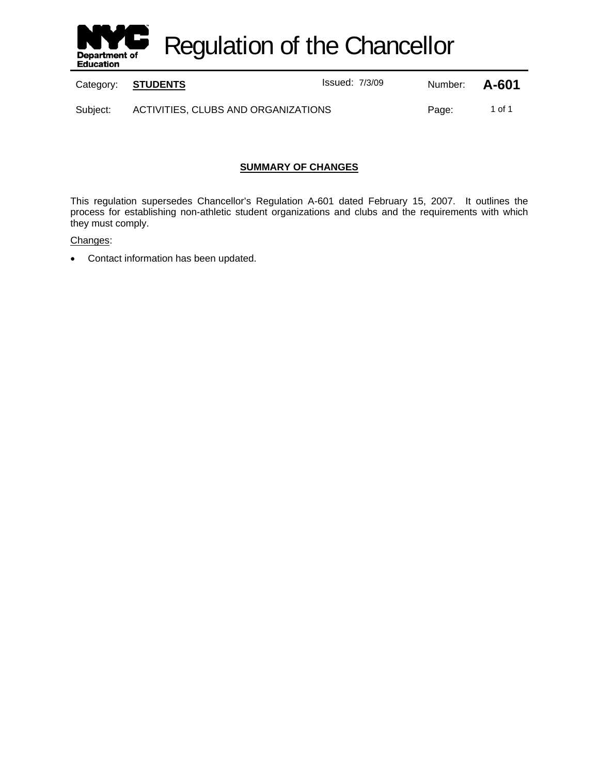

Regulation of the Chancellor

Category: **STUDENTS ISSUE ISSUED:** 1/3/09 Number: **A-601** 

Subject: ACTIVITIES, CLUBS AND ORGANIZATIONS Fage: 1 of 1

## **SUMMARY OF CHANGES**

This regulation supersedes Chancellor's Regulation A-601 dated February 15, 2007. It outlines the process for establishing non-athletic student organizations and clubs and the requirements with which they must comply.

Changes:

• Contact information has been updated.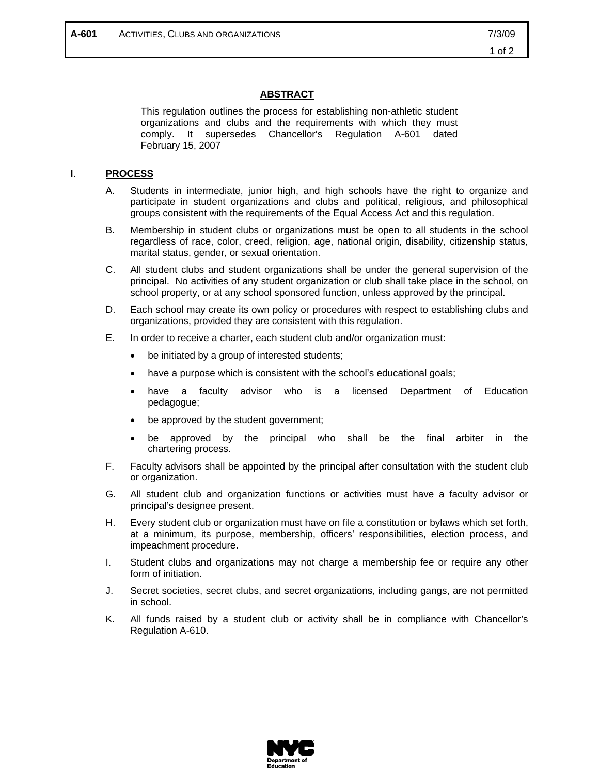## **ABSTRACT**

This regulation outlines the process for establishing non-athletic student organizations and clubs and the requirements with which they must comply. It supersedes Chancellor's Regulation A-601 dated February 15, 2007

## **I**. **PROCESS**

- A. Students in intermediate, junior high, and high schools have the right to organize and participate in student organizations and clubs and political, religious, and philosophical groups consistent with the requirements of the Equal Access Act and this regulation.
- B. Membership in student clubs or organizations must be open to all students in the school regardless of race, color, creed, religion, age, national origin, disability, citizenship status, marital status, gender, or sexual orientation.
- C. All student clubs and student organizations shall be under the general supervision of the principal. No activities of any student organization or club shall take place in the school, on school property, or at any school sponsored function, unless approved by the principal.
- D. Each school may create its own policy or procedures with respect to establishing clubs and organizations, provided they are consistent with this regulation.
- E. In order to receive a charter, each student club and/or organization must:
	- be initiated by a group of interested students;
	- have a purpose which is consistent with the school's educational goals;
	- have a faculty advisor who is a licensed Department of Education pedagogue;
	- be approved by the student government;
	- be approved by the principal who shall be the final arbiter in the chartering process.
- F. Faculty advisors shall be appointed by the principal after consultation with the student club or organization.
- G. All student club and organization functions or activities must have a faculty advisor or principal's designee present.
- H. Every student club or organization must have on file a constitution or bylaws which set forth, at a minimum, its purpose, membership, officers' responsibilities, election process, and impeachment procedure.
- I. Student clubs and organizations may not charge a membership fee or require any other form of initiation.
- J. Secret societies, secret clubs, and secret organizations, including gangs, are not permitted in school.
- K. All funds raised by a student club or activity shall be in compliance with Chancellor's Regulation A-610.